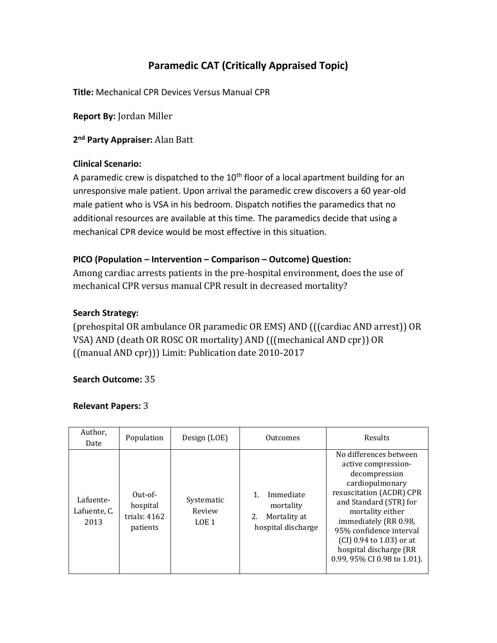# **Paramedic CAT (Critically Appraised Topic)**

**Title:** Mechanical CPR Devices Versus Manual CPR

**Report By:** Jordan Miller

**2 nd Party Appraiser:** Alan Batt

## **Clinical Scenario:**

A paramedic crew is dispatched to the  $10<sup>th</sup>$  floor of a local apartment building for an unresponsive male patient. Upon arrival the paramedic crew discovers a 60 year-old male patient who is VSA in his bedroom. Dispatch notifies the paramedics that no additional resources are available at this time. The paramedics decide that using a mechanical CPR device would be most effective in this situation.

# **PICO (Population – Intervention – Comparison – Outcome) Question:**

Among cardiac arrests patients in the pre-hospital environment, does the use of mechanical CPR versus manual CPR result in decreased mortality?

## **Search Strategy:**

(prehospital OR ambulance OR paramedic OR EMS) AND (((cardiac AND arrest)) OR VSA) AND (death OR ROSC OR mortality) AND (((mechanical AND cpr)) OR ((manual AND cpr))) Limit: Publication date 2010-2017

#### **Search Outcome:** 35

#### **Relevant Papers:** 3

| Author,<br>Date                   | Population                                          | Design (LOE)                             | Outcomes                                                           | Results                                                                                                                                                                                                                                                                                                |
|-----------------------------------|-----------------------------------------------------|------------------------------------------|--------------------------------------------------------------------|--------------------------------------------------------------------------------------------------------------------------------------------------------------------------------------------------------------------------------------------------------------------------------------------------------|
| Lafuente-<br>Lafuente, C.<br>2013 | $Out-of-$<br>hospital<br>trials: $4162$<br>patients | Systematic<br>Review<br>LOE <sub>1</sub> | Immediate<br>mortality<br>Mortality at<br>2.<br>hospital discharge | No differences between<br>active compression-<br>decompression<br>cardiopulmonary<br>resuscitation (ACDR) CPR<br>and Standard (STR) for<br>mortality either<br>immediately (RR 0.98,<br>95% confidence interval<br>$(Cl)$ 0.94 to 1.03) or at<br>hospital discharge (RR<br>0.99, 95% CI 0.98 to 1.01). |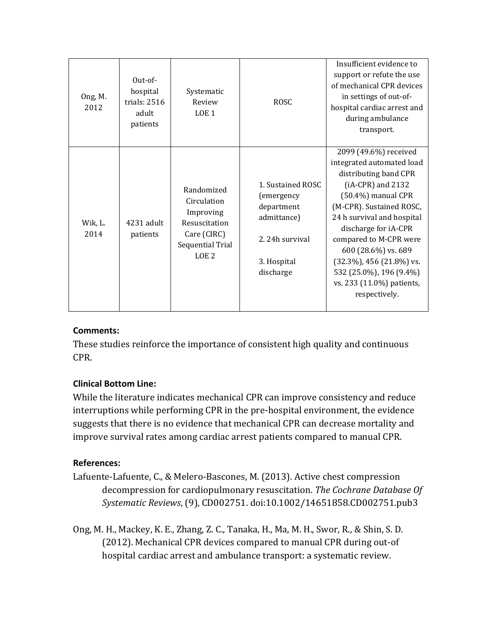| Ong, M.<br>2012 | $Out-of-$<br>hospital<br>trials: $2516$<br>adult<br>patients | Systematic<br>Review<br>LOE <sub>1</sub>                                                                       | ROSC                                                                                                       | Insufficient evidence to<br>support or refute the use<br>of mechanical CPR devices<br>in settings of out-of-<br>hospital cardiac arrest and<br>during ambulance<br>transport.                                                                                                                                                                                              |
|-----------------|--------------------------------------------------------------|----------------------------------------------------------------------------------------------------------------|------------------------------------------------------------------------------------------------------------|----------------------------------------------------------------------------------------------------------------------------------------------------------------------------------------------------------------------------------------------------------------------------------------------------------------------------------------------------------------------------|
| Wik, L.<br>2014 | 4231 adult<br>patients                                       | Randomized<br>Circulation<br>Improving<br>Resuscitation<br>Care (CIRC)<br>Sequential Trial<br>LOE <sub>2</sub> | 1. Sustained ROSC<br>(emergency<br>department<br>admittance)<br>2.24h survival<br>3. Hospital<br>discharge | 2099 (49.6%) received<br>integrated automated load<br>distributing band CPR<br>$(iA-CPR)$ and 2132<br>$(50.4\%)$ manual CPR<br>(M-CPR). Sustained ROSC,<br>24 h survival and hospital<br>discharge for iA-CPR<br>compared to M-CPR were<br>600 (28.6%) vs. 689<br>$(32.3\%)$ , 456 $(21.8\%)$ vs.<br>532 (25.0%), 196 (9.4%)<br>vs. 233 (11.0%) patients,<br>respectively. |

# **Comments:**

These studies reinforce the importance of consistent high quality and continuous CPR.

# **Clinical Bottom Line:**

While the literature indicates mechanical CPR can improve consistency and reduce interruptions while performing CPR in the pre-hospital environment, the evidence suggests that there is no evidence that mechanical CPR can decrease mortality and improve survival rates among cardiac arrest patients compared to manual CPR.

# **References:**

- Lafuente-Lafuente, C., & Melero-Bascones, M. (2013). Active chest compression decompression for cardiopulmonary resuscitation. *The Cochrane Database Of Systematic Reviews*, (9), CD002751. doi:10.1002/14651858.CD002751.pub3
- Ong, M. H., Mackey, K. E., Zhang, Z. C., Tanaka, H., Ma, M. H., Swor, R., & Shin, S. D. (2012). Mechanical CPR devices compared to manual CPR during out-of hospital cardiac arrest and ambulance transport: a systematic review.